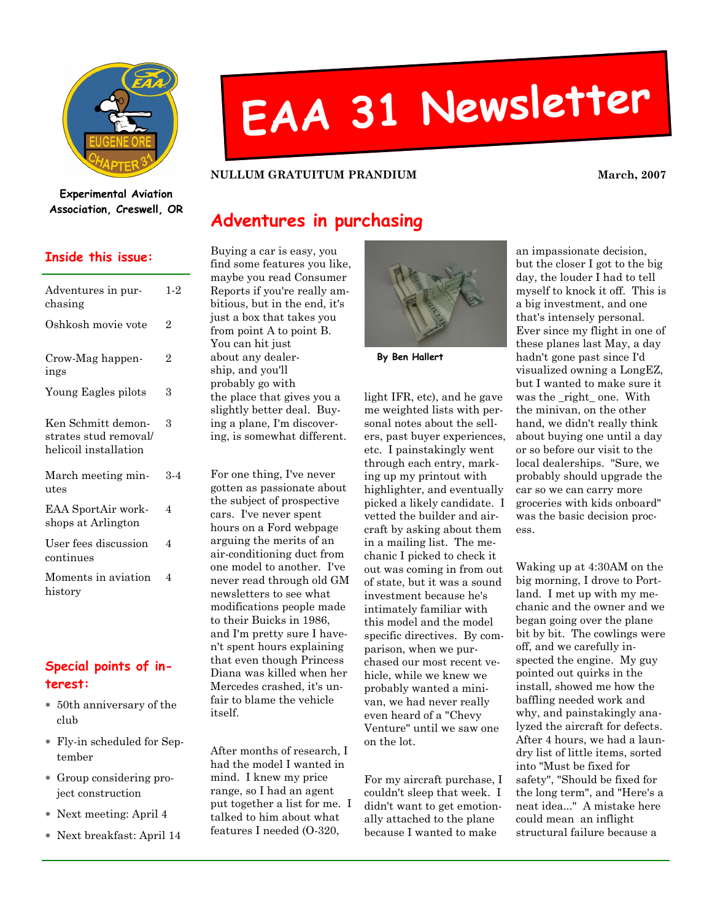

# EAA <sup>31</sup> Newsletter

#### NULLUM GRATUITUM PRANDIUM March, 2007

#### Experimental Aviation Association, Creswell, OR

#### Inside this issue:

| Adventures in pur-<br>chasing                                        | $1-2$          |
|----------------------------------------------------------------------|----------------|
| Oshkosh movie vote                                                   | $\overline{2}$ |
| Crow-Mag happen-<br>ings                                             | 2              |
| Young Eagles pilots                                                  | 3              |
| Ken Schmitt demon-<br>strates stud removal/<br>helicoil installation | 3              |
| March meeting min-<br>utes                                           | 3-4            |
| EAA SportAir work-<br>shops at Arlington                             | 4              |
| User fees discussion<br>continues                                    | 4              |
| Moments in aviation<br>history                                       | 4              |

### Special points of interest:

- ∗ 50th anniversary of the club
- ∗ Fly-in scheduled for September
- ∗ Group considering project construction
- ∗ Next meeting: April 4
- ∗ Next breakfast: April 14

## Adventures in purchasing

Buying a car is easy, you find some features you like, maybe you read Consumer Reports if you're really ambitious, but in the end, it's just a box that takes you from point A to point B. You can hit just about any dealership, and you'll probably go with the place that gives you a slightly better deal. Buying a plane, I'm discovering, is somewhat different.

For one thing, I've never gotten as passionate about the subject of prospective cars. I've never spent hours on a Ford webpage arguing the merits of an air-conditioning duct from one model to another. I've never read through old GM newsletters to see what modifications people made to their Buicks in 1986, and I'm pretty sure I haven't spent hours explaining that even though Princess Diana was killed when her Mercedes crashed, it's unfair to blame the vehicle itself.

After months of research, I had the model I wanted in mind. I knew my price range, so I had an agent put together a list for me. I talked to him about what features I needed (O-320,



By Ben Hallert

light IFR, etc), and he gave me weighted lists with personal notes about the sellers, past buyer experiences, etc. I painstakingly went through each entry, marking up my printout with highlighter, and eventually picked a likely candidate. I vetted the builder and aircraft by asking about them in a mailing list. The mechanic I picked to check it out was coming in from out of state, but it was a sound investment because he's intimately familiar with this model and the model specific directives. By comparison, when we purchased our most recent vehicle, while we knew we probably wanted a minivan, we had never really even heard of a "Chevy Venture" until we saw one on the lot.

For my aircraft purchase, I couldn't sleep that week. I didn't want to get emotionally attached to the plane because I wanted to make

an impassionate decision, but the closer I got to the big day, the louder I had to tell myself to knock it off. This is a big investment, and one that's intensely personal. Ever since my flight in one of these planes last May, a day hadn't gone past since I'd visualized owning a LongEZ, but I wanted to make sure it was the \_right\_ one. With the minivan, on the other hand, we didn't really think about buying one until a day or so before our visit to the local dealerships. "Sure, we probably should upgrade the car so we can carry more groceries with kids onboard" was the basic decision process.

Waking up at 4:30AM on the big morning, I drove to Portland. I met up with my mechanic and the owner and we began going over the plane bit by bit. The cowlings were off, and we carefully inspected the engine. My guy pointed out quirks in the install, showed me how the baffling needed work and why, and painstakingly analyzed the aircraft for defects. After 4 hours, we had a laundry list of little items, sorted into "Must be fixed for safety", "Should be fixed for the long term", and "Here's a neat idea..." A mistake here could mean an inflight structural failure because a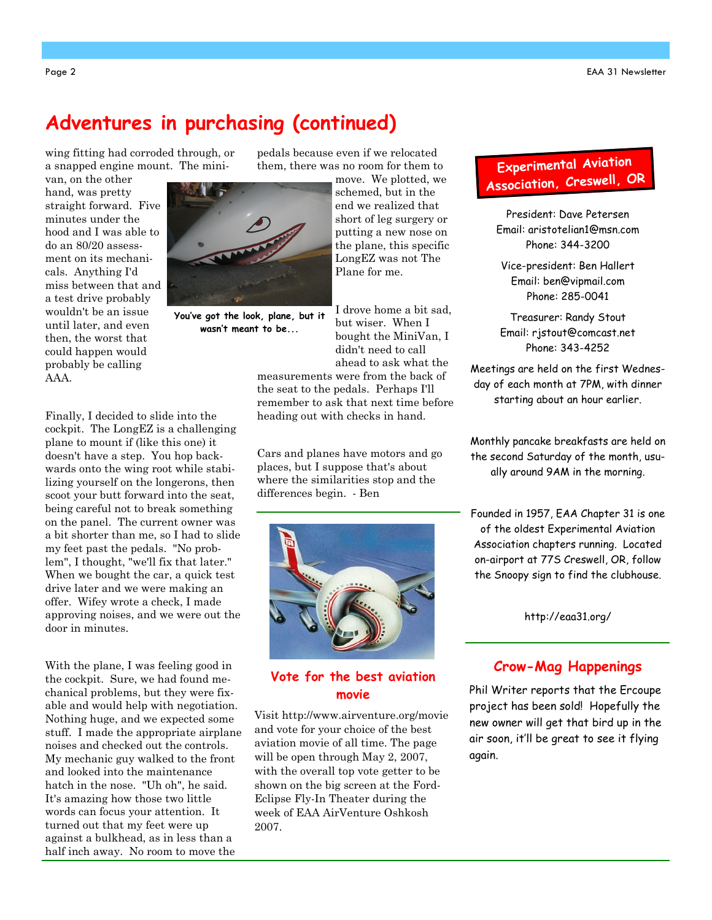## Adventures in purchasing (continued)

wing fitting had corroded through, or a snapped engine mount. The mini-

van, on the other hand, was pretty straight forward. Five minutes under the hood and I was able to do an 80/20 assessment on its mechanicals. Anything I'd miss between that and a test drive probably wouldn't be an issue until later, and even then, the worst that could happen would probably be calling AAA.

You've got the look, plane, but it wasn't meant to be...

I drove home a bit sad, but wiser. When I bought the MiniVan, I didn't need to call ahead to ask what the

move. We plotted, we schemed, but in the end we realized that short of leg surgery or putting a new nose on the plane, this specific LongEZ was not The Plane for me.

measurements were from the back of the seat to the pedals. Perhaps I'll remember to ask that next time before heading out with checks in hand.

pedals because even if we relocated them, there was no room for them to

Cars and planes have motors and go places, but I suppose that's about where the similarities stop and the differences begin. - Ben



#### Vote for the best aviation movie

Visit http://www.airventure.org/movie and vote for your choice of the best aviation movie of all time. The page will be open through May 2, 2007, with the overall top vote getter to be shown on the big screen at the Ford-Eclipse Fly-In Theater during the week of EAA AirVenture Oshkosh 2007.

## Experimenta<sup>l</sup> Aviation Association, Creswell, OR

President: Dave Petersen Email: aristotelian1@msn.com Phone: 344-3200

Vice-president: Ben Hallert Email: ben@vipmail.com Phone: 285-0041

Treasurer: Randy Stout Email: rjstout@comcast.net Phone: 343-4252

Meetings are held on the first Wednesday of each month at 7PM, with dinner starting about an hour earlier.

Monthly pancake breakfasts are held on the second Saturday of the month, usually around 9AM in the morning.

Founded in 1957, EAA Chapter 31 is one of the oldest Experimental Aviation Association chapters running. Located on-airport at 77S Creswell, OR, follow the Snoopy sign to find the clubhouse.

http://eaa31.org/

## Crow-Mag Happenings

Phil Writer reports that the Ercoupe project has been sold! Hopefully the new owner will get that bird up in the air soon, it'll be great to see it flying again.

Finally, I decided to slide into the cockpit. The LongEZ is a challenging plane to mount if (like this one) it doesn't have a step. You hop backwards onto the wing root while stabilizing yourself on the longerons, then scoot your butt forward into the seat, being careful not to break something on the panel. The current owner was a bit shorter than me, so I had to slide my feet past the pedals. "No problem", I thought, "we'll fix that later." When we bought the car, a quick test drive later and we were making an offer. Wifey wrote a check, I made approving noises, and we were out the door in minutes.

With the plane, I was feeling good in the cockpit. Sure, we had found mechanical problems, but they were fixable and would help with negotiation. Nothing huge, and we expected some stuff. I made the appropriate airplane noises and checked out the controls. My mechanic guy walked to the front and looked into the maintenance hatch in the nose. "Uh oh", he said. It's amazing how those two little words can focus your attention. It turned out that my feet were up against a bulkhead, as in less than a half inch away. No room to move the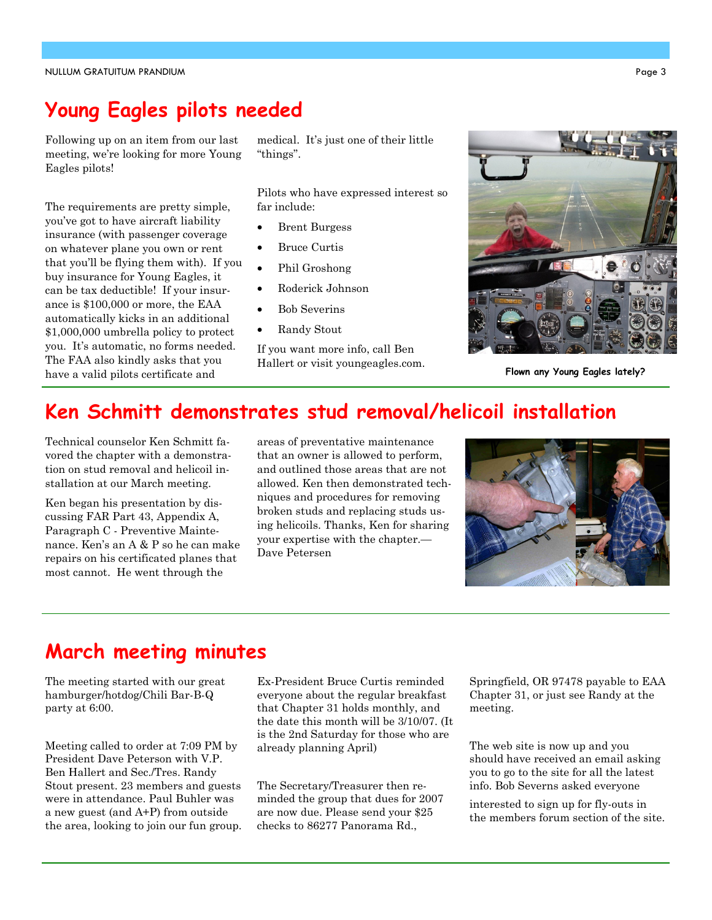## Young Eagles pilots needed

Following up on an item from our last meeting, we're looking for more Young Eagles pilots!

The requirements are pretty simple, you've got to have aircraft liability insurance (with passenger coverage on whatever plane you own or rent that you'll be flying them with). If you buy insurance for Young Eagles, it can be tax deductible! If your insurance is \$100,000 or more, the EAA automatically kicks in an additional \$1,000,000 umbrella policy to protect you. It's automatic, no forms needed. The FAA also kindly asks that you have a valid pilots certificate and

medical. It's just one of their little "things".

Pilots who have expressed interest so far include:

- **Brent Burgess**
- Bruce Curtis
- Phil Groshong
- Roderick Johnson
- Bob Severins
- Randy Stout

If you want more info, call Ben Hallert or visit youngeagles.com.



Flown any Young Eagles lately?

## Ken Schmitt demonstrates stud removal/helicoil installation

Technical counselor Ken Schmitt favored the chapter with a demonstration on stud removal and helicoil installation at our March meeting.

Ken began his presentation by discussing FAR Part 43, Appendix A, Paragraph C - Preventive Maintenance. Ken's an A & P so he can make repairs on his certificated planes that most cannot. He went through the

areas of preventative maintenance that an owner is allowed to perform, and outlined those areas that are not allowed. Ken then demonstrated techniques and procedures for removing broken studs and replacing studs using helicoils. Thanks, Ken for sharing your expertise with the chapter.— Dave Petersen



## March meeting minutes

The meeting started with our great hamburger/hotdog/Chili Bar-B-Q party at 6:00.

Meeting called to order at 7:09 PM by President Dave Peterson with V.P. Ben Hallert and Sec./Tres. Randy Stout present. 23 members and guests were in attendance. Paul Buhler was a new guest (and A+P) from outside the area, looking to join our fun group. Ex-President Bruce Curtis reminded everyone about the regular breakfast that Chapter 31 holds monthly, and the date this month will be 3/10/07. (It is the 2nd Saturday for those who are already planning April)

The Secretary/Treasurer then reminded the group that dues for 2007 are now due. Please send your \$25 checks to 86277 Panorama Rd.,

Springfield, OR 97478 payable to EAA Chapter 31, or just see Randy at the meeting.

The web site is now up and you should have received an email asking you to go to the site for all the latest info. Bob Severns asked everyone

interested to sign up for fly-outs in the members forum section of the site.